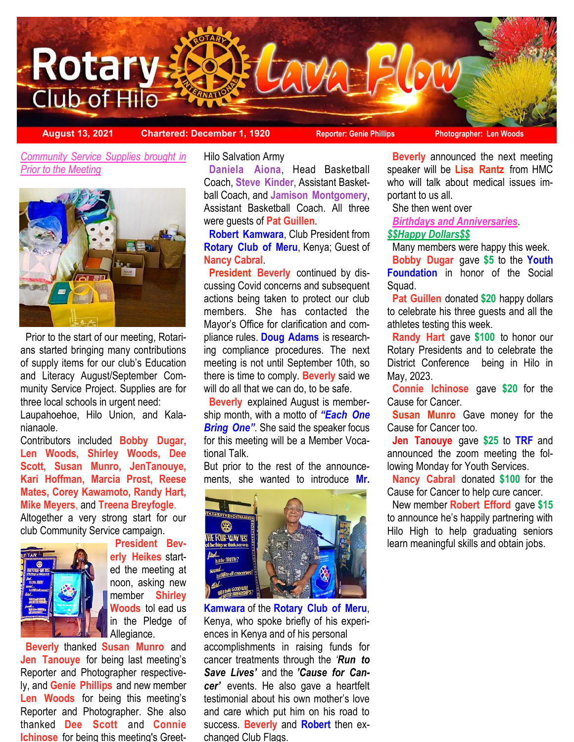

**August 13, 2021 Chartered: December 1, 1920 Reporter: Genie Phillips Photographer: Len Woods**

 *Community Service Supplies brought in Prior to the Meeting*



 Prior to the start of our meeting, Rotarians started bringing many contributions of supply items for our club's Education and Literacy August/September Community Service Project. Supplies are for three local schools in urgent need:

Laupahoehoe, Hilo Union, and Kalanianaole.

Contributors included **Bobby Dugar, Len Woods, Shirley Woods, Dee Scott, Susan Munro, JenTanouye, Kari Hoffman, Marcia Prost, Reese Mates, Corey Kawamoto, Randy Hart, Mike Meyers**, and **Treena Breyfogle**.

Altogether a very strong start for our club Community Service campaign.



 **President Beverly Heikes** started the meeting at noon, asking new member **Shirley Woods** tol ead us in the Pledge of Allegiance.

 **Beverly** thanked **Susan Munro** and **Jen Tanouye** for being last meeting's Reporter and Photographer respectively, and **Genie Phillips** and new member **Len Woods** for being this meeting's Reporter and Photographer. She also thanked **Dee Scott** and **Connie Ichinose** for being this meeting's GreetHilo Salvation Army

 **Daniela Aiona**, Head Basketball Coach, **Steve Kinder**, Assistant Basketball Coach, and **Jamison Montgomery**, Assistant Basketball Coach. All three were guests of **Pat Guillen**.

 **Robert Kamwara**, Club President from **Rotary Club of Meru**, Kenya; Guest of **Nancy Cabral**.

 **President Beverly** continued by discussing Covid concerns and subsequent actions being taken to protect our club members. She has contacted the Mayor's Office for clarification and compliance rules. **Doug Adams** is researching compliance procedures. The next meeting is not until September 10th, so there is time to comply. **Beverly** said we will do all that we can do, to be safe.

 **Beverly** explained August is membership month, with a motto of *"Each One Bring One"*. She said the speaker focus for this meeting will be a Member Vocational Talk.

But prior to the rest of the announcements, she wanted to introduce **Mr.** 



**Kamwara** of the **Rotary Club of Meru**, Kenya, who spoke briefly of his experiences in Kenya and of his personal accomplishments in raising funds for cancer treatments through the *'Run to Save Lives'* and the *'Cause for Cancer'* events. He also gave a heartfelt testimonial about his own mother's love and care which put him on his road to success. **Beverly** and **Robert** then exchanged Club Flags.

 **Beverly** announced the next meeting speaker will be **Lisa Rantz** from HMC who will talk about medical issues important to us all.

She then went over

*Birthdays and Anniversaries*.

# *\$\$Happy Dollars\$\$*

Many members were happy this week.

 **Bobby Dugar** gave **\$5** to the **Youth Foundation** in honor of the Social Squad.

 **Pat Guillen** donated **\$20** happy dollars to celebrate his three guests and all the athletes testing this week.

 **Randy Hart** gave **\$100** to honor our Rotary Presidents and to celebrate the District Conference being in Hilo in May, 2023.

 **Connie Ichinose** gave **\$20** for the Cause for Cancer.

 **Susan Munro** Gave money for the Cause for Cancer too.

 **Jen Tanouye** gave **\$25** to **TRF** and announced the zoom meeting the following Monday for Youth Services.

 **Nancy Cabral** donated **\$100** for the Cause for Cancer to help cure cancer.

 New member **Robert Efford** gave **\$15** to announce he's happily partnering with Hilo High to help graduating seniors learn meaningful skills and obtain jobs.